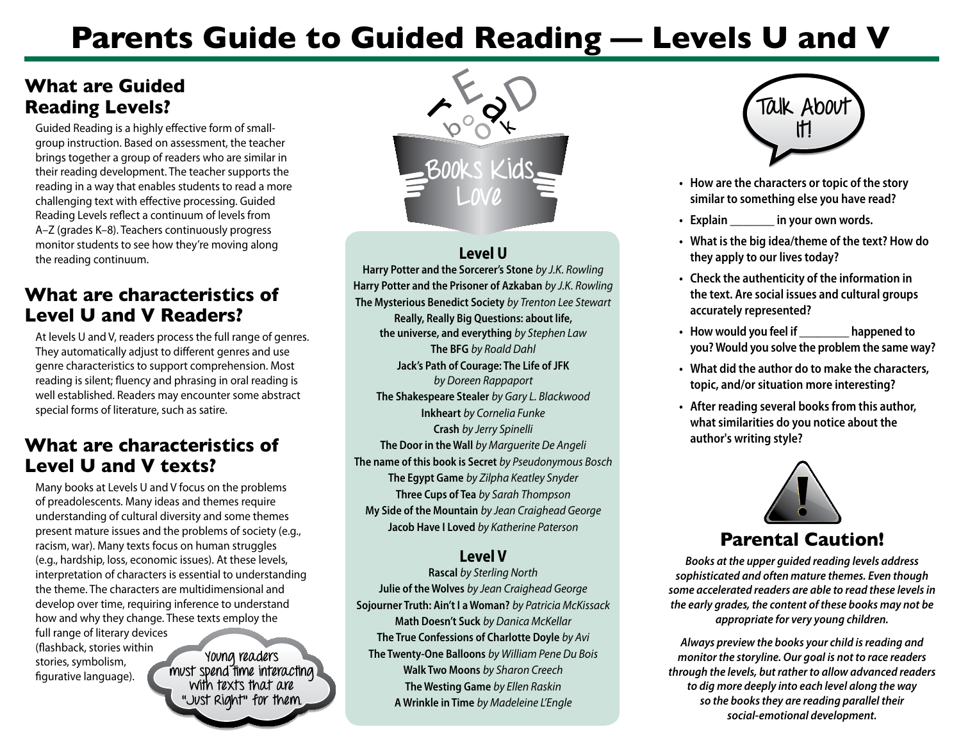# **Parents Guide to Guided Reading — Levels U and V**

## **What are Guided Reading Levels?**

Guided Reading is a highly effective form of smallgroup instruction. Based on assessment, the teacher brings together a group of readers who are similar in their reading development. The teacher supports the reading in a way that enables students to read a more challenging text with effective processing. Guided Reading Levels reflect a continuum of levels from A–Z (grades K–8). Teachers continuously progress monitor students to see how they're moving along the reading continuum.

## **What are characteristics of Level U and V Readers?**

At levels U and V, readers process the full range of genres. They automatically adjust to different genres and use genre characteristics to support comprehension. Most reading is silent; fluency and phrasing in oral reading is well established. Readers may encounter some abstract special forms of literature, such as satire.

### **What are characteristics of Level U and V texts?**

Many books at Levels U and V focus on the problems of preadolescents. Many ideas and themes require understanding of cultural diversity and some themes present mature issues and the problems of society (e.g., racism, war). Many texts focus on human struggles (e.g., hardship, loss, economic issues). At these levels, interpretation of characters is essential to understanding the theme. The characters are multidimensional and develop over time, requiring inference to understand how and why they change. These texts employ the full range of literary devices (flashback, stories within stories, symbolism, figurative language). **Young readers** 

**must spend time interacting with texts that are "Just Right" for them.** 



#### **Level U**

**Harry Potter and the Sorcerer's Stone** *by J.K. Rowling* **Harry Potter and the Prisoner of Azkaban** *by J.K. Rowling*  **The Mysterious Benedict Society** *by Trenton Lee Stewart* **Really, Really Big Questions: about life, the universe, and everything** *by Stephen Law*  **The BFG** *by Roald Dahl*  **Jack's Path of Courage: The Life of JFK** *by Doreen Rappaport* **The Shakespeare Stealer** *by Gary L. Blackwood*  **Inkheart** *by Cornelia Funke* **Crash** *by Jerry Spinelli*  **The Door in the Wall** *by Marguerite De Angeli*  **The name of this book is Secret** *by Pseudonymous Bosch*  **The Egypt Game** *by Zilpha Keatley Snyder*  **Three Cups of Tea** *by Sarah Thompson*  **My Side of the Mountain** *by Jean Craighead George*  **Jacob Have I Loved** *by Katherine Paterson* 

#### **Level V**

**Rascal** *by Sterling North*  **Julie of the Wolves** *by Jean Craighead George* **Sojourner Truth: Ain't I a Woman?** *by Patricia McKissack*  **Math Doesn't Suck** *by Danica McKellar*  **The True Confessions of Charlotte Doyle** *by Avi*  **The Twenty-One Balloons** *by William Pene Du Bois*  **Walk Two Moons** *by Sharon Creech*  **The Westing Game** *by Ellen Raskin*  **A Wrinkle in Time** *by Madeleine L'Engle* 



- **•** How are the characters or topic of the story<br> **LOVC COLLECTION** 
	- **• Explain \_\_\_\_\_\_\_ in your own words.**
	- **• What isthe big idea/theme of the text? How do they apply to our lives today?**
	- **• Check the authenticity of the information in the text. Are social issues and cultural groups accurately represented?**
	- **• How would you feel if \_\_\_\_\_\_\_\_ happened to you? Would you solve the problem the same way?**
	- **• What did the author do to make the characters, topic, and/orsituation more interesting?**
	- **• After reading several booksfrom this author, what similarities do you notice about the author's writing style?**



## **Parental Caution!**

*Books at the upper guided reading levels address sophisticated and often mature themes. Even though some accelerated readers are able to read these levels in the early grades, the content of these books may not be appropriate for very young children.* 

*Always preview the books your child is reading and monitor the storyline. Our goal is not to race readers through the levels, but rather to allow advanced readers to dig more deeply into each level along the way so the books they are reading parallel their social-emotional development.*